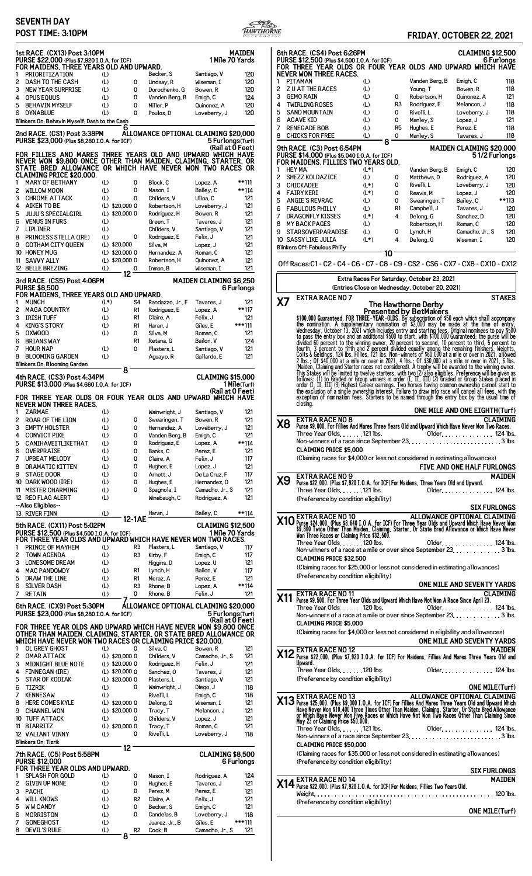## **SEVENTH DAY**<br>**POST TIME: 3.10PM**



# **POST TIME:** 3:2021<br> **POST TIME:** 5:2021

|        | PUSI IIME: 3:IUPM                                                                                                                                               |                                    |                                  |                                      |                                      | $R$ <i>a</i> c $\epsilon$ |
|--------|-----------------------------------------------------------------------------------------------------------------------------------------------------------------|------------------------------------|----------------------------------|--------------------------------------|--------------------------------------|---------------------------|
|        | 1st RACE. (CX13) Post 3:10PM<br>PURSE \$22,000 (Plus \$7,920 I.O.A. for ICF)<br>FOR MAIDENS, THREE YEARS OLD AND UPWARD.                                        |                                    |                                  |                                      | 1 Mile 70 Yards                      | <b>MAIDEN</b>             |
| 1      | PRIORITIZATION                                                                                                                                                  | (L)                                |                                  | Becker, S                            | Santiago, V                          | 120                       |
| 2      | <b>DASH TO THE CASH</b>                                                                                                                                         | (L)                                | 0                                | Lindsay, R                           | Wiseman, I                           | 120                       |
| 3      | <b>NEW YEAR SURPRISE</b>                                                                                                                                        | (L)                                | 0                                | Dorochenko, G                        | Bowen, R                             | 120                       |
| 4<br>5 | OPUS EQUUS<br><b>BEHAVIN MYSELF</b>                                                                                                                             | (L)<br>(L)                         | 0<br>0                           | Vanden Berg, B<br>Miller, P          | Emigh, C<br>Quinonez, A              | 124<br>120                |
| 6      | <b>DYNABLUE</b>                                                                                                                                                 | (L)                                | 0                                | Poulos, D                            | Loveberry, J                         | 120                       |
|        | Blinkers On: Behavin Myself; Dash to the Cash                                                                                                                   |                                    |                                  |                                      |                                      |                           |
|        | 2nd RACE. (CS1) Post 3:38PM<br>PURSE \$23,000 (Plus \$8,280 I.O.A. for ICF)                                                                                     |                                    | 6                                | ALLOWANCE OPTIONAL CLAIMING \$20,000 | 5 Furlongs(Turf)                     |                           |
|        | FOR FILLIES AND MARES THREE YEARS OLD AND UPWARD WHICH HAVE                                                                                                     |                                    |                                  |                                      | (Rail at 0 Feet)                     |                           |
|        | NEVER WON \$9,800 ONCE OTHER THAN MAIDEN, CLAIMING, STARTER, OR<br>STATE BRED ALLOWANCE OR WHICH HAVE NEVER WON TWO RACES OR<br><b>CLAIMING PRICE \$20,000.</b> |                                    |                                  |                                      |                                      |                           |
| 1      | <b>MARY OF BETHANY</b>                                                                                                                                          | (L)                                | 0                                | Block, C                             | Lopez, A                             | **111                     |
| 2      | <b>WILLOW MOON</b>                                                                                                                                              | (L)                                | 0                                | Mason, I                             | Bailey, C                            | **114                     |
| 3      | <b>CHROME ATTACK</b>                                                                                                                                            | (L)                                | 0                                | Childers, V                          | Ulloa, C                             | 121                       |
| 4<br>5 | <b>AIKEN TO BE</b><br><b>JUJU'S SPECIALGIRL</b>                                                                                                                 | $(L)$ \$20,000 0<br>(L) \$20,000 0 |                                  | Robertson, H<br>Rodriguez, H         | Loveberry, J<br>Bowen, R             | 121<br>121                |
| 6      | <b>VENUS IN FURS</b>                                                                                                                                            | (L)                                |                                  | Green, T                             | Tavares. J                           | 121                       |
| 7      | <b>LIPLINER</b>                                                                                                                                                 | (L)                                |                                  | Childers, V                          | Santiago, V                          | 121                       |
| 8      | PRINCESS STELLA (IRE)                                                                                                                                           | (L)                                | 0                                | Rodriguez, E                         | Felix, J                             | 121                       |
| 9      | <b>GOTHAM CITY QUEEN</b>                                                                                                                                        | (L) \$20,000                       |                                  | Silva, M                             | Lopez, J                             | 121                       |
|        | 10 HONEY MUG                                                                                                                                                    | (L) \$20,000 0                     |                                  | Hernandez, A                         | Roman, C                             | 121                       |
| 11     | <b>SAVVY ALLY</b><br>12 BELLE BREZING                                                                                                                           | (L) \$20,000 0<br>(L)              |                                  | Robertson, H<br>Inman, B             | Quinonez, A<br>Wiseman, I            | 121<br>121                |
|        |                                                                                                                                                                 |                                    | 0<br>12                          |                                      |                                      |                           |
|        | 3rd RACE. (CS5) Post 4:06PM<br><b>PURSE \$8,500</b><br>FOR MAIDENS, THREE YEARS OLD AND UPWARD.                                                                 |                                    |                                  |                                      | MAIDEN CLAIMING \$6,250              | 6 Furlongs                |
| 1      | <b>MUNCH</b>                                                                                                                                                    | $(L^*)$                            | S4                               | Randazzo, Jr., F                     | Tavares, J                           | 121                       |
| 2      | <b>MAGA COUNTRY</b>                                                                                                                                             | (L)                                | R1                               | Rodriguez, E                         | Lopez, A                             | **117<br>121              |
| 3<br>4 | <b>IRISH TUFF</b><br><b>KING'S STORY</b>                                                                                                                        | (L)<br>(L)                         | R <sub>1</sub><br>R <sub>1</sub> | Claire, A<br>Haran, J                | Felix, J<br>Giles, E                 | ***111                    |
| 5      | <b>OXWOOD</b>                                                                                                                                                   | (L)                                | 0                                | Silva, M                             | Roman, C                             | 121                       |
| 6      | <b>BRIANS WAY</b>                                                                                                                                               |                                    | R <sub>1</sub>                   | Retana, G                            | Bailon, V                            | 124                       |
| 7      | <b>HOUR NAP</b>                                                                                                                                                 | (L)                                | 0                                | Plasters, L                          | Santiago, V                          | 121                       |
| 8      | <b>BLOOMING GARDEN</b>                                                                                                                                          | (L)                                |                                  | Aguayo, R                            | Gallardo, E                          | 121                       |
|        | Blinkers On: Blooming Garden<br>4th RACE. (CS3) Post 4:34PM                                                                                                     |                                    | 8                                |                                      | <b>CLAIMING \$15,000</b>             |                           |
|        | PURSE \$13,000 (Plus \$4,680 I.O.A. for ICF)                                                                                                                    |                                    |                                  |                                      | (Rail at 0 Feet)                     | 1 Mile(Turf)              |
| 1      | FOR THREE YEAR OLDS OR FOUR YEAR OLDS AND UPWARD WHICH HAVE<br>NEVER WON THREE RACES.<br><b>ZARMAE</b>                                                          | (L)                                |                                  | Wainwright, J                        | Santiago, V                          | 121                       |
| 2      | <b>ROAR OF THE LION</b>                                                                                                                                         | (L)                                | 0                                | Swearingen, T                        | Bowen, R                             | 121                       |
| 3      | <b>EMPTY HOLSTER</b>                                                                                                                                            | (L)                                | 0                                | Hernandez, A                         | Loveberry, J                         | 121                       |
| 4      | <b>CONVICT PIKE</b>                                                                                                                                             | (L)                                | 0                                | Vanden Berg, B                       | Emigh, C                             | 121                       |
| 5      | CANIHAVEITLIKETHAT                                                                                                                                              | (L)                                | 0                                | Rodriguez, E                         | Lopez, A                             | **114                     |
| 6      | OVERPRAISE                                                                                                                                                      | (L)                                | 0                                | Banks, C                             | Perez. E                             | 121                       |
| 7<br>8 | <b>UPBEAT MELODY</b><br><b>DRAMATIC KITTEN</b>                                                                                                                  | (L)<br>(L)                         | 0<br>0                           | Claire, A<br>Hughes, E               | Felix, J<br>Lopez, J                 | 117<br>121                |
| 9      | <b>STAGE DOOR</b>                                                                                                                                               | (L)                                | 0                                | Arnett, J                            | De La Cruz, F                        | 117                       |
|        |                                                                                                                                                                 |                                    |                                  |                                      |                                      |                           |
|        |                                                                                                                                                                 |                                    | 0                                |                                      | Hernandez, 0                         |                           |
|        | 10 DARK WOOD (IRE)<br>11 MISTER CHARMING                                                                                                                        | (L)<br>(L)                         | 0                                | Hughes, E<br>Spagnola, I             | Camacho, Jr., S                      | 121<br>121                |
|        | 12 RED FLAG ALERT                                                                                                                                               | (L)                                |                                  | Winebaugh, C                         | Rodriguez, A                         | 121                       |
|        | --Also Eligibles--                                                                                                                                              |                                    |                                  |                                      |                                      |                           |
|        | 13 RIVER FINN                                                                                                                                                   | (L)                                |                                  | Haran, J                             | Bailey, C                            | **114                     |
|        | 5th RACE. (CX11) Post 5:02PM                                                                                                                                    |                                    | 12-1AE                           |                                      | <b>CLAIMING \$12,500</b>             |                           |
|        | PURSE \$12,500 (Plus \$4,500 I.O.A. for ICF)                                                                                                                    |                                    |                                  |                                      | 1 Mile 70 Yards                      |                           |
|        | FOR THREE YEAR OLDS AND UPWARD WHICH HAVE NEVER WON TWO RACES.                                                                                                  |                                    |                                  |                                      |                                      |                           |
| 1<br>2 | PRINCE OF MAYHEM<br><b>TOWN AGENDA</b>                                                                                                                          | (L)<br>(L)                         | R3<br>R <sub>3</sub>             | Plasters, L<br>Kirby, F              | Santiago, V<br>Emigh, C              | 117<br>117                |
| 3      | <b>LONESOME DREAM</b>                                                                                                                                           | (L)                                |                                  | Higgins, D                           | Lopez, U                             | 121                       |
| 4      | <b>MAC PANDOWDY</b>                                                                                                                                             | (L)                                | R1                               | Lynch, H                             | Bailon, V                            | 117                       |
| 5      | DRAW THE LINE                                                                                                                                                   | (L)                                | R1                               | Meraz, A                             | Perez, E                             | 121                       |
| 6      | <b>SILVER DASH</b>                                                                                                                                              | (L)                                | R3                               | Rhone, B                             | Lopez, A                             | **114                     |
| 7      | <b>RETAIN</b>                                                                                                                                                   | (L)                                | 0                                | Rhone, B                             | Felix, J                             | 121                       |
|        | 6th RACE. (CX9) Post 5:30PM                                                                                                                                     |                                    |                                  | ALLOWANCE OPTIONAL CLAIMING \$20,000 |                                      |                           |
|        | PURSE \$23,000 (Plus \$8,280 I.O.A. for ICF)                                                                                                                    |                                    |                                  |                                      | 5 Furlongs(Turf)<br>(Rail at 0 Feet) |                           |
|        | FOR THREE YEAR OLDS AND UPWARD WHICH HAVE NEVER WON \$9,800 ONCE                                                                                                |                                    |                                  |                                      |                                      |                           |
|        | OTHER THAN MAIDEN, CLAIMING, STARTER, OR STATE BRED ALLOWANCE OR                                                                                                |                                    |                                  |                                      |                                      |                           |
| 1      | WHICH HAVE NEVER WON TWO RACES OR CLAIMING PRICE \$20,000.<br>OL GREY GHOST                                                                                     | (L)                                | 0                                | Silva, C                             | Bowen, R                             | 121                       |
| 2      | <b>OMAR ATTACK</b>                                                                                                                                              | (L) \$20,000 0                     |                                  | Childers, V                          | Camacho, Jr., S                      | 121                       |
| 3      | <b>MIDNIGHT BLUE NOTE</b>                                                                                                                                       | (L) \$20,000 0                     |                                  | Rodriguez, H                         | Felix, J                             | 121                       |
| 4      | <b>FINNEGAN (IRE)</b>                                                                                                                                           | $(L)$ \$20,000 0                   |                                  | Sanchez, 0                           | Tavares, J                           | 121                       |
| 5<br>6 | <b>STAR OF KODIAK</b><br>TIZRIK                                                                                                                                 | (L) \$20,000 0<br>(L)              | 0                                | Plasters, L<br>Wainwright, J         | Santiago, V<br>Diego, J              | 121<br>118                |
| 7      | <b>KENNESAW</b>                                                                                                                                                 | (L)                                |                                  | Rivelli, L                           | Emigh, C                             | 118                       |
| 8      | <b>HERE COMES KYLE</b>                                                                                                                                          | (L) \$20,000 0                     |                                  | Delong, G                            | Wiseman, I                           | 121                       |
| 9      | <b>CHANNEL WON</b>                                                                                                                                              | (L) \$20,000 0                     |                                  | Tracy, T                             | Melancon, J                          | 121                       |
|        | 10 TUFF ATTACK                                                                                                                                                  | (L)                                | 0                                | Childers, V                          | Lopez, J                             | 121                       |
| 11     | <b>BIARRITZ</b>                                                                                                                                                 | (L) \$20,000 0                     | 0                                | Tracy, T                             | Roman, C                             | 121                       |
|        | 12 VALIANT VINNY<br><b>Blinkers On: Tizrik</b>                                                                                                                  | (L)                                |                                  | Rivelli, L                           | Loveberry, J                         | 118                       |
|        | 7th RACE. (C5) Post 5:58PM                                                                                                                                      |                                    | 12                               |                                      | <b>CLAIMING \$8,500</b>              |                           |
|        | <b>PURSE \$12,000</b>                                                                                                                                           |                                    |                                  |                                      |                                      | 6 Furlongs                |
|        | FOR THREE YEAR OLDS AND UPWARD.                                                                                                                                 |                                    |                                  |                                      |                                      |                           |
| 1<br>2 | <b>SPLASH FOR GOLD</b><br><b>GIVIN UP NONE</b>                                                                                                                  | (L)<br>(L)                         | 0<br>0                           | Mason, I                             | Rodriguez, A<br>Tavares, J           | 124<br>121                |
| 3      | <b>PACHI</b>                                                                                                                                                    | (L)                                | 0                                | Hughes, E<br>Perez, M                | Perez. E                             | 121                       |
| 4      | <b>WILL KNOWS</b>                                                                                                                                               | (L)                                | R <sub>2</sub>                   | Claire, A                            | Felix, J                             | 121                       |
| 5      | <b>WW CANDY</b>                                                                                                                                                 | (L)                                | 0                                | Becker, S                            | Emigh, C                             | 121                       |
| 6      | <b>MORRISTON</b>                                                                                                                                                | $(\mathsf{L})$                     | 0                                | Candelas, B                          | Loveberry, J                         | 118                       |
| 7<br>8 | <b>GONEGHOST</b><br><b>DEVIL'S RULE</b>                                                                                                                         | (L)<br>(L)                         | R <sub>2</sub>                   | Juarez, Jr., B<br>Cook, B            | Giles, E<br>Camacho, Jr., S          | ***111<br>121             |

|        | 8th RACE. (CS4) Post 6:26PM<br>PURSE \$12,500 (Plus \$4,500 I.O.A. for ICF)<br>FOR THREE YEAR OLDS OR FOUR YEAR OLDS AND UPWARD WHICH HAVE<br><b>NEVER WON THREE RACES.</b>                                                                                                                                                                                                                                                                                                                                                                                    |                |                |                                                                                              | <b>CLAIMING \$12,500</b>             | 6 Furlonas      |
|--------|----------------------------------------------------------------------------------------------------------------------------------------------------------------------------------------------------------------------------------------------------------------------------------------------------------------------------------------------------------------------------------------------------------------------------------------------------------------------------------------------------------------------------------------------------------------|----------------|----------------|----------------------------------------------------------------------------------------------|--------------------------------------|-----------------|
| 1      | PITAMAN                                                                                                                                                                                                                                                                                                                                                                                                                                                                                                                                                        | (L)            |                | Vanden Berg, B                                                                               | Emigh, C                             | 118             |
| 2<br>3 | <b>ZU AT THE RACES</b><br><b>GEMO RAIN</b>                                                                                                                                                                                                                                                                                                                                                                                                                                                                                                                     | (L)<br>(L)     | 0              | Young, T<br>Robertson, H                                                                     | Bowen, R<br>Quinonez, A              | 118<br>121      |
| 4      | <b>TWIRLING ROSES</b>                                                                                                                                                                                                                                                                                                                                                                                                                                                                                                                                          | (L)            | R3             | Rodriguez, E                                                                                 | Melancon, J                          | 118             |
| 5<br>6 | <b>SAND MOUNTAIN</b><br><b>AGAVE KID</b>                                                                                                                                                                                                                                                                                                                                                                                                                                                                                                                       | (L)<br>(L)     | 0<br>0         | Rivelli, L<br>Manley, S                                                                      | Loveberry, J<br>Lopez, J             | 118<br>121      |
| 7      | <b>RENEGADE BOB</b>                                                                                                                                                                                                                                                                                                                                                                                                                                                                                                                                            | (L)            | R <sub>5</sub> | Hughes, E                                                                                    | Perez, E                             | 118             |
| 8      | <b>CHICKS FOR FREE</b>                                                                                                                                                                                                                                                                                                                                                                                                                                                                                                                                         | (L)<br>8       | 0              | Manley, S                                                                                    | Tavares, J                           | 118             |
| 1      | <b>MAIDEN CLAIMING \$20,000</b><br>9th RACE. (C3) Post 6:54PM<br>PURSE \$14,000 (Plus \$5,040 I.O.A. for ICF)<br>51/2 Furlongs<br>FOR MAIDENS. FILLIES TWO YEARS OLD.<br><b>HEY MA</b><br>$(L*)$<br>Vanden Berg, B                                                                                                                                                                                                                                                                                                                                             |                |                |                                                                                              |                                      |                 |
| 2      | <b>SHEZZ KOLDAZICE</b>                                                                                                                                                                                                                                                                                                                                                                                                                                                                                                                                         | (L)            | 0              | Matthews, D                                                                                  | Emigh, C<br>Rodriguez, A             | 120<br>120      |
| 3      | <b>CHICKADEE</b>                                                                                                                                                                                                                                                                                                                                                                                                                                                                                                                                               | $(L^*)$        | 0              | Rivelli, L                                                                                   | Loveberry, J                         | 120             |
| 4<br>5 | <b>FAIRY KERI</b><br><b>ANGIE'S REVRAC</b>                                                                                                                                                                                                                                                                                                                                                                                                                                                                                                                     | $(L^*)$<br>(L) | 0<br>0         | Reavis, M<br>Swearingen, T                                                                   | Lopez, J<br>Bailey, C                | 120<br>**113    |
| 6      | <b>FABULOUS PHILLY</b>                                                                                                                                                                                                                                                                                                                                                                                                                                                                                                                                         | (L)            | R1             | Campbell, J                                                                                  | Tavares, J                           | 120             |
| 7<br>8 | <b>DRAGONFLY KISSES</b><br><b>MY BACK PAGES</b>                                                                                                                                                                                                                                                                                                                                                                                                                                                                                                                | $(L^*)$<br>(L) | 4              | Delong, G<br>Robertson, H                                                                    | Sanchez, D<br>Roman, C               | 120<br>120      |
| 9      | <b>STARSOVERPARADISE</b>                                                                                                                                                                                                                                                                                                                                                                                                                                                                                                                                       | (L)            | 0              | Lynch, H                                                                                     | Camacho, Jr., S                      | 120             |
|        | 10 SASSY LIKE JULIA<br>Blinkers Off: Fabulous Philly                                                                                                                                                                                                                                                                                                                                                                                                                                                                                                           | $(L^*)$        | 4              | Delong, G                                                                                    | Wiseman, I                           | 120             |
|        | Off Races:C1 - C2 - C4 - C6 - C7 - C8 - C9 - CS2 - CS6 - CX7 - CX8 - CX10 - CX12                                                                                                                                                                                                                                                                                                                                                                                                                                                                               | 10             |                |                                                                                              |                                      |                 |
|        |                                                                                                                                                                                                                                                                                                                                                                                                                                                                                                                                                                |                |                | Extra Races For Saturday, October 23, 2021<br>(Entries Close on Wednesday, October 20, 2021) |                                      |                 |
| X7     | EXTRA RACE NO 7                                                                                                                                                                                                                                                                                                                                                                                                                                                                                                                                                |                |                | The Hawthorne Derby                                                                          |                                      | <b>STAKES</b>   |
|        |                                                                                                                                                                                                                                                                                                                                                                                                                                                                                                                                                                |                |                | Presented by BetMakers                                                                       |                                      |                 |
|        | \$100,000 Guaranteed. FOR THREE-YEAR-OLDS. By subscribion of \$50 each which shall accompany<br>the nomination. A supplementary nomination of \$2,000 may be made at the time of entry,<br>Wednesday, October 13, 2021 which includes                                                                                                                                                                                                                                                                                                                          |                |                |                                                                                              |                                      |                 |
|        | 2 lips.; vi +vi, vi ou at mire vi ver in Eva.<br>This Stakes will be limited to twelve starters, with two (2) also eligibles. Preference will be given as<br>This Stakes will be limited to twelve starters, with two (2) also eligi<br>order (I, II, III) (3) Highest Career earnings. Two horses having common ownership cannot start to the exclusion of a single ownership interest. Failure to draw into race will cancel all fees, with the<br>exception of nomination fees. Starters to be named through the entry box by the usual time of<br>closing. |                |                |                                                                                              |                                      |                 |
| Х8     | <b>EXTRA RACE NO 8</b><br>Purse \$9,000. For Fillies And Mares Three Years Old and Upward Which Have Never Won Two Races.                                                                                                                                                                                                                                                                                                                                                                                                                                      |                |                |                                                                                              | <b>ONE MILE AND ONE EIGHTH(Turf)</b> | <b>CLAIMING</b> |
|        |                                                                                                                                                                                                                                                                                                                                                                                                                                                                                                                                                                |                |                |                                                                                              |                                      |                 |
|        | <b>CLAIMING PRICE \$5,000</b><br>(Claiming races for \$4,000 or less not considered in estimating allowances)                                                                                                                                                                                                                                                                                                                                                                                                                                                  |                |                |                                                                                              | FIVE AND ONE HALF FURLONGS           |                 |
| Х9     | <b>EXTRA RACE NO 9</b><br>Purse \$22,000. (Plus \$7,920 I.O.A. for ICF) For Maidens, Three Years Old and Upward.<br>Three Year Olds121 lbs.                                                                                                                                                                                                                                                                                                                                                                                                                    |                |                | Older. 124 lbs.                                                                              |                                      | <b>MAIDEN</b>   |
|        | (Preference by condition eligibility)                                                                                                                                                                                                                                                                                                                                                                                                                                                                                                                          |                |                |                                                                                              | <b>SIX FURLONGS</b>                  |                 |
|        | <b>X10</b> EXTRA RACE NO 10<br><b>X10</b> Purse \$24,000. (Plus \$8,640 I.O.A. for ICF) For Three Year Olds and Upward Which Have Never Won<br>\$9,800 Twice Other Than Maiden, Claiming, Starter, Or State Bred Allowance or Which Have Never<br>Wo<br>Three Year Olds. 120 lbs.                                                                                                                                                                                                                                                                              |                |                | ALLOWANCE OPTIONAL CLAIMING<br>Older. 124 lbs.                                               |                                      |                 |
|        | Non-winners of a race at a mile or over since September 23, 3 lbs.<br><b>CLAIMING PRICE \$32,500</b><br>(Claiming races for \$25,000 or less not considered in estimating allowances)                                                                                                                                                                                                                                                                                                                                                                          |                |                |                                                                                              |                                      |                 |
|        | (Preference by condition eligibility)                                                                                                                                                                                                                                                                                                                                                                                                                                                                                                                          |                |                | ONE MILE AND SEVENTY YARDS                                                                   |                                      |                 |
|        | <b>X11</b> EXTRA RACE NO 11<br><b>X11</b> Purse \$9,500. For Three Year Olds and Upward Which Have Not Won A Race Since April 23.                                                                                                                                                                                                                                                                                                                                                                                                                              |                |                |                                                                                              |                                      | <b>CLAIMING</b> |
|        | Three Year Olds. 120 lbs.<br>Non-winners of a race at a mile or over since September 23. 3 lbs.<br><b>CLAIMING PRICE \$5,000</b>                                                                                                                                                                                                                                                                                                                                                                                                                               |                |                |                                                                                              | Older. 124 lbs.                      |                 |
|        | (Claiming races for \$4,000 or less not considered in eligibility and allowances)                                                                                                                                                                                                                                                                                                                                                                                                                                                                              |                |                | ONE MILE AND SEVENTY YARDS                                                                   |                                      |                 |
|        | <b>X12</b> EXTRA RACE NO 12<br><b>X12</b> Purse \$22,000. (Plus \$7,920 I.O.A. for ICF) For Maidens, Fillies And Mares Three Years Old and<br>Upward.                                                                                                                                                                                                                                                                                                                                                                                                          |                |                |                                                                                              |                                      |                 |
|        | Three Year Olds 120 lbs.<br>(Preference by condition eligibility)                                                                                                                                                                                                                                                                                                                                                                                                                                                                                              |                |                | Older. 124 lbs.                                                                              |                                      |                 |
|        | ONE MILE(Turf)<br><b>X13</b> EXTRA RACE NO 13<br>Purse \$25,000. (Plus \$9,000 I.O.A. for ICF) For Fillies And Mares Three Years Old and Upward Which<br>Have Never Won \$10,400 Three Times Other Than Maiden, Claiming, Starter, Or State                                                                                                                                                                                                                                                                                                                    |                |                |                                                                                              |                                      |                 |
|        | <b>CLAIMING PRICE \$50,000</b>                                                                                                                                                                                                                                                                                                                                                                                                                                                                                                                                 |                |                |                                                                                              |                                      |                 |
|        | (Claiming races for \$35,000 or less not considered in estimating allowances)<br>(Preference by condition eligibility)                                                                                                                                                                                                                                                                                                                                                                                                                                         |                |                |                                                                                              |                                      |                 |
|        |                                                                                                                                                                                                                                                                                                                                                                                                                                                                                                                                                                |                |                | <b>SIX FURLONGS</b>                                                                          |                                      |                 |
|        | X14 EXTRA RACE NO 14<br>X14 Purse \$22,000. (Plus \$7,920 I.O.A. for ICF) For Maidens, Fillies Two Years Old.                                                                                                                                                                                                                                                                                                                                                                                                                                                  |                |                |                                                                                              |                                      | <b>MAIDEN</b>   |
|        | (Preference by condition eligibility)                                                                                                                                                                                                                                                                                                                                                                                                                                                                                                                          |                |                |                                                                                              | <b>ONE MILE(Turf)</b>                |                 |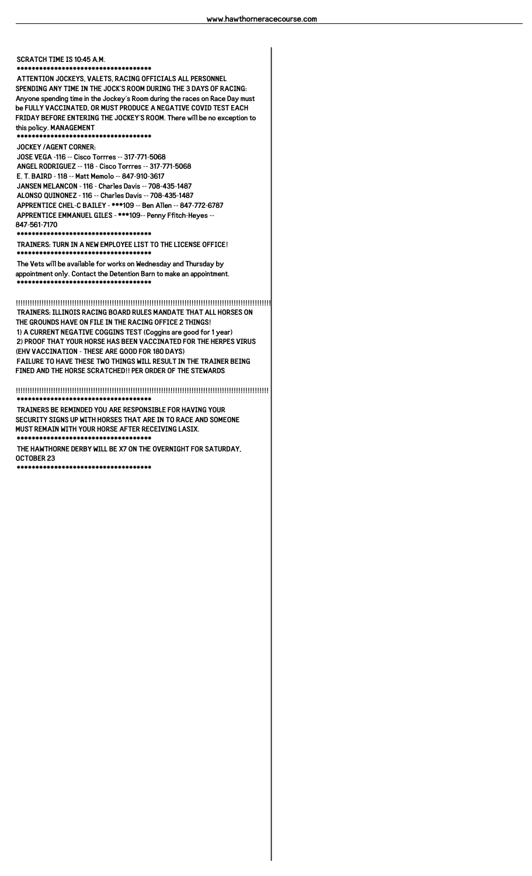#### **SCRATCH TIME IS 10:45 A.M. \*\*\*\*\*\*\*\*\*\*\*\*\*\*\*\*\*\*\*\*\*\*\*\*\*\*\*\*\*\*\*\*\*\*\*\***

**ATTENTION JOCKEYS, VALETS, RACING OFFICIALS ALL PERSONNEL SPENDING ANY TIME IN THE JOCK'S ROOM DURING THE 3 DAYS OF RACING: Anyone spending time in the Jockey's Room during the races on Race Day must be FULLY VACCINATED, OR MUST PRODUCE A NEGATIVE COVID TEST EACH FRIDAY BEFORE ENTERING THE JOCKEY'S ROOM. There will be no exception to this policy. MANAGEMENT \*\*\*\*\*\*\*\*\*\*\*\*\*\*\*\*\*\*\*\*\*\*\*\*\*\*\*\*\*\*\*\*\*\*\*\***

**JOCKEY /AGENT CORNER: JOSE VEGA -116 -- Cisco Torrres -- 317-771-5068 ANGEL RODRIGUEZ -- 118 - Cisco Torrres -- 317-771-5068 E. T. BAIRD - 118 -- Matt Memolo -- 847-910-3617 JANSEN MELANCON - 116 - Charles Davis -- 708-435-1487 ALONSO QUINONEZ - 116 -- Charles Davis -- 708-435-1487 APPRENTICE CHEL-C BAILEY - \*\*\*109 -- Ben Allen -- 847-772-6787 APPRENTICE EMMANUEL GILES - \*\*\*109-- Penny Ffitch-Heyes -- 847-561-7170 \*\*\*\*\*\*\*\*\*\*\*\*\*\*\*\*\*\*\*\*\*\*\*\*\*\*\*\*\*\*\*\*\*\*\*\***

**TRAINERS: TURN IN A NEW EMPLOYEE LIST TO THE LICENSE OFFICE! \*\*\*\*\*\*\*\*\*\*\*\*\*\*\*\*\*\*\*\*\*\*\*\*\*\*\*\*\*\*\*\*\*\*\*\***

**The Vets will be available for works on Wednesday and Thursday by appointment only. Contact the Detention Barn to make an appointment. \*\*\*\*\*\*\*\*\*\*\*\*\*\*\*\*\*\*\*\*\*\*\*\*\*\*\*\*\*\*\*\*\*\*\*\***

**!!!!!!!!!!!!!!!!!!!!!!!!!!!!!!!!!!!!!!!!!!!!!!!!!!!!!!!!!!!!!!!!!!!!!!!!!!!!!!!!!!!!!!!!!!!!!!!!!!!!!!!!!!!!! TRAINERS: ILLINOIS RACING BOARD RULES MANDATE THAT ALL HORSES ON THE GROUNDS HAVE ON FILE IN THE RACING OFFICE 2 THINGS! 1) A CURRENT NEGATIVE COGGINS TEST (Coggins are good for 1 year) 2) PROOF THAT YOUR HORSE HAS BEEN VACCINATED FOR THE HERPES VIRUS (EHV VACCINATION - THESE ARE GOOD FOR 180 DAYS) FAILURE TO HAVE THESE TWO THINGS WILL RESULT IN THE TRAINER BEING FINED AND THE HORSE SCRATCHED!! PER ORDER OF THE STEWARDS**

**!!!!!!!!!!!!!!!!!!!!!!!!!!!!!!!!!!!!!!!!!!!!!!!!!!!!!!!!!!!!!!!!!!!!!!!!!!!!!!!!!!!!!!!!!!!!!!!!!!!!!!!!!!!! \*\*\*\*\*\*\*\*\*\*\*\*\*\*\*\*\*\*\*\*\*\*\*\*\*\*\*\*\*\*\*\*\*\*\*\***

**TRAINERS BE REMINDED YOU ARE RESPONSIBLE FOR HAVING YOUR SECURITY SIGNS UP WITH HORSES THAT ARE IN TO RACE AND SOMEONE MUST REMAIN WITH YOUR HORSE AFTER RECEIVING LASIX. \*\*\*\*\*\*\*\*\*\*\*\*\*\*\*\*\*\*\*\*\*\*\*\*\*\*\*\*\*\*\*\*\*\*\*\***

**THE HAWTHORNE DERBY WILL BE X7 ON THE OVERNIGHT FOR SATURDAY, OCTOBER 23**

**\*\*\*\*\*\*\*\*\*\*\*\*\*\*\*\*\*\*\*\*\*\*\*\*\*\*\*\*\*\*\*\*\*\*\*\***